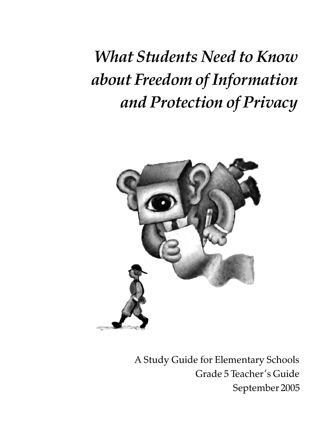## *What Students Need to Know about Freedom of Information and Protection of Privacy*



A Study Guide for Elementary Schools Grade 5 Teacher's Guide September 2005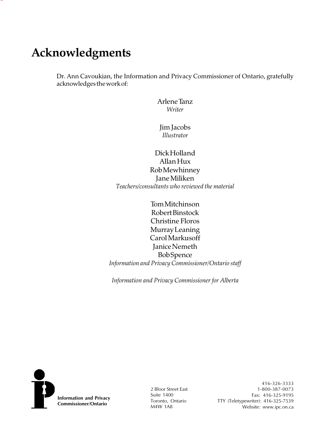## **Acknowledgments**

Dr. Ann Cavoukian, the Information and Privacy Commissioner of Ontario, gratefully acknowledges the work of:

> Arlene Tanz *Writer*

Jim Jacobs *Illustrator*

Dick Holland Allan Hux Rob Mewhinney Jane Miliken *Teachers/consultants who reviewed the material*

Tom Mitchinson Robert Binstock Christine Floros Murray Leaning Carol Markusoff Janice Nemeth Bob Spence *Information and Privacy Commissioner/Ontario staff*

*Information and Privacy Commissioner for Alberta*



2 Bloor Street East Suite 1400 Toronto, Ontario M4W 1A8

416-326-3333 1-800-387-0073 Fax: 416-325-9195 TTY (Teletypewriter): 416-325-7539 Website: www.ipc.on.ca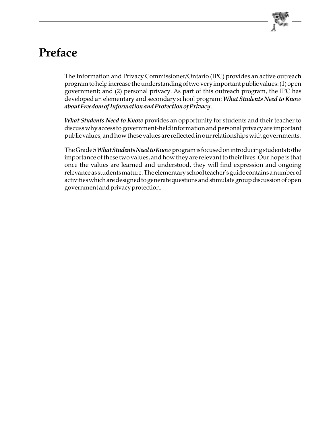

## **Preface**

The Information and Privacy Commissioner/Ontario (IPC) provides an active outreach program to help increase the understanding of two very important public values: (1) open government; and (2) personal privacy. As part of this outreach program, the IPC has developed an elementary and secondary school program: *What Students Need to Know about Freedom of Information and Protection of Privacy*.

*What Students Need to Know* provides an opportunity for students and their teacher to discuss why access to government-held information and personal privacy are important public values, and how these values are reflected in our relationships with governments.

The Grade 5 *What Students Need to Know* program is focused on introducing students to the importance of these two values, and how they are relevant to their lives. Our hope is that once the values are learned and understood, they will find expression and ongoing relevance as students mature. The elementary school teacher's guide contains a number of activities which are designed to generate questions and stimulate group discussion of open government and privacy protection.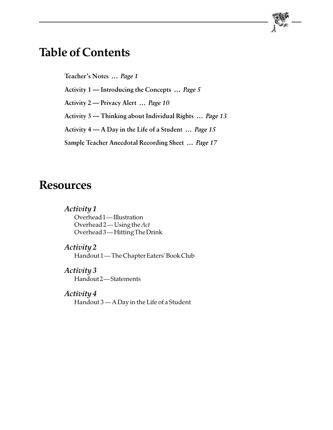## **Table of Contents**

**[Teacher's Notes …](#page-4-0)** *Page 1*

**[Activity 1 — Introducing the Concepts …](#page-8-0)** *Page 5*

**[Activity 2 — Privacy Alert …](#page-13-0)** *Page 10*

**[Activity 3 — Thinking about Individual Rights …](#page-16-0)** *Page 13*

**[Activity 4 — A Day in the Life of a Student …](#page-18-0)** *Page 15*

**[Sample Teacher Anecdotal Recording Sheet …](#page-20-0)** *Page 17*

### **[Resources](#page-21-0)**

#### *Activity 1*

Overhead 1 — Illustration Overhead 2 — Using the *Act* Overhead 3 — Hitting The Drink

#### *Activity 2*

Handout 1 — The Chapter Eaters' Book Club

#### *Activity 3*

Handout 2-Statements

#### *Activity 4*

Handout 3 — A Day in the Life of a Student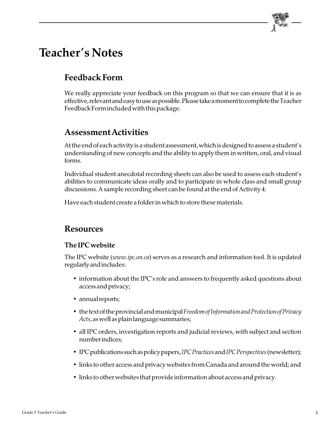## <span id="page-4-0"></span>**Teacher's Notes**

#### **Feedback Form**

We really appreciate your feedback on this program so that we can ensure that it is as effective, relevant and easy to use as possible. Please take a moment to complete the Teacher Feedback Form included with this package.

#### **Assessment Activities**

At the end of each activity is a student assessment, which is designed to assess a student's understanding of new concepts and the ability to apply them in written, oral, and visual forms.

Individual student anecdotal recording sheets can also be used to assess each student's abilities to communicate ideas orally and to participate in whole class and small group discussions. A sample recording sheet can be found at the end of Activity 4.

Have each student create a folder in which to store these materials.

#### **Resources**

#### **The IPC website**

The IPC website (*www.ipc.on.ca*) serves as a research and information tool. It is updated regularly and includes:

- information about the IPC's role and answers to frequently asked questions about access and privacy;
- annual reports;
- the text of the provincial and municipal *Freedom of Information and Protection of Privacy Acts*, as well as plain language summaries;
- all IPC orders, investigation reports and judicial reviews, with subject and section number indices;
- IPC publications such as policy papers, *IPC Practices* and *IPC Perspectives* (newsletter);
- links to other access and privacy websites from Canada and around the world; and
- links to other websites that provide information about access and privacy.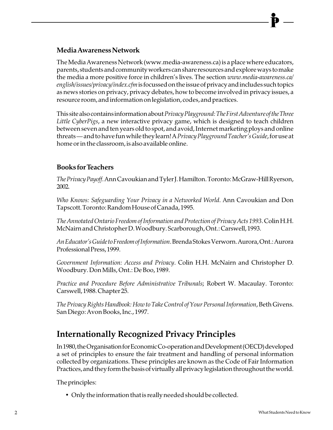#### **Media Awareness Network**

The Media Awareness Network (www.media-awareness.ca) is a place where educators, parents, students and community workers can share resources and explore ways to make the media a more positive force in children's lives. The section *www.media-awareness.ca/ english/issues/privacy/index.cfm* is focussed on the issue of privacy and includes such topics as news stories on privacy, privacy debates, how to become involved in privacy issues, a resource room, and information on legislation, codes, and practices.

This site also contains information about *Privacy Playground: The First Adventure of the Three Little CyberPigs*, a new interactive privacy game, which is designed to teach children between seven and ten years old to spot, and avoid, Internet marketing ploys and online threats — and to have fun while they learn! A *Privacy Playground Teacher's Guide*, for use at home or in the classroom, is also available online.

#### **Books for Teachers**

*The Privacy Payoff*. Ann Cavoukian and Tyler J. Hamilton. Toronto: McGraw-Hill Ryerson, 2002.

*Who Knows: Safeguarding Your Privacy in a Networked World*. Ann Cavoukian and Don Tapscott. Toronto: Random House of Canada, 1995.

*The Annotated Ontario Freedom of Information and Protection of Privacy Acts 1993*. Colin H.H. McNairn and Christopher D. Woodbury. Scarborough, Ont.: Carswell, 1993.

*An Educator's Guide to Freedom of Information*. Brenda Stokes Verworn. Aurora, Ont.: Aurora Professional Press, 1999.

*Government Information: Access and Privacy*. Colin H.H. McNairn and Christopher D. Woodbury. Don Mills, Ont.: De Boo, 1989.

*Practice and Procedure Before Administrative Tribunals*; Robert W. Macaulay. Toronto: Carswell, 1988. Chapter 25.

*The Privacy Rights Handbook: How to Take Control of Your Personal Information*, Beth Givens. San Diego: Avon Books, Inc., 1997.

#### **Internationally Recognized Privacy Principles**

In 1980, the Organisation for Economic Co-operation and Development (OECD) developed a set of principles to ensure the fair treatment and handling of personal information collected by organizations. These principles are known as the Code of Fair Information Practices, and they form the basis of virtually all privacy legislation throughout the world.

The principles:

• Only the information that is really needed should be collected.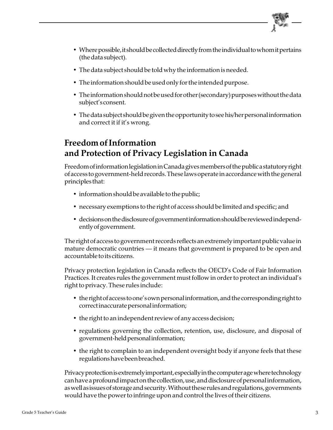- Where possible, it should be collected directly from the individual to whom it pertains (the data subject).
- The data subject should be told why the information is needed.
- The information should be used only for the intended purpose.
- The information should not be used for other (secondary) purposes without the data subject's consent.
- The data subject should be given the opportunity to see his/her personal information and correct it if it's wrong.

#### **Freedom of Information and Protection of Privacy Legislation in Canada**

Freedom of information legislation in Canada gives members of the public a statutory right of access to government-held records. These laws operate in accordance with the general principles that:

- information should be available to the public;
- necessary exemptions to the right of access should be limited and specific; and
- decisions on the disclosure of government information should be reviewed independently of government.

The right of access to government records reflects an extremely important public value in mature democratic countries — it means that government is prepared to be open and accountable to its citizens.

Privacy protection legislation in Canada reflects the OECD's Code of Fair Information Practices. It creates rules the government must follow in order to protect an individual's right to privacy. These rules include:

- the right of access to one's own personal information, and the corresponding right to correct inaccurate personal information;
- the right to an independent review of any access decision;
- regulations governing the collection, retention, use, disclosure, and disposal of government-held personal information;
- the right to complain to an independent oversight body if anyone feels that these regulations have been breached.

Privacy protection is extremely important, especially in the computer age where technology can have a profound impact on the collection, use, and disclosure of personal information, as well as issues of storage and security. Without these rules and regulations, governments would have the power to infringe upon and control the lives of their citizens.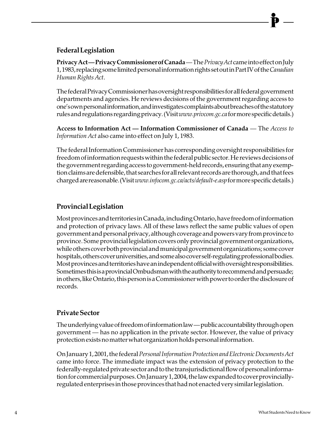#### **Federal Legislation**

**Privacy Act — Privacy Commissioner of Canada** — The *Privacy Act* came into effect on July 1, 1983, replacing some limited personal information rights set out in Part IV of the *Canadian Human Rights Act*.

The federal Privacy Commissioner has oversight responsibilities for all federal government departments and agencies. He reviews decisions of the government regarding access to one's own personal information, and investigates complaints about breaches of the statutory rules and regulations regarding privacy. (Visit *[www.privcom.gc.ca](http://www.privcom.gc.ca/)* for more specific details.)

**Access to Information Act — Information Commissioner of Canada** — The *Access to Information Act* also came into effect on July 1, 1983.

The federal Information Commissioner has corresponding oversight responsibilities for freedom of information requests within the federal public sector. He reviews decisions of the government regarding access to government-held records, ensuring that any exemption claims are defensible, that searches for all relevant records are thorough, and that fees charged are reasonable. (Visit *[www.infocom.gc.ca/acts/default-e.as](http://infoweb.magi.com/~accessca/index.html)p* for more specific details.)

#### **Provincial Legislation**

Most provinces and territories in Canada, including Ontario, have freedom of information and protection of privacy laws. All of these laws reflect the same public values of open government and personal privacy, although coverage and powers vary from province to province. Some provincial legislation covers only provincial government organizations, while others cover both provincial and municipal government organizations; some cover hospitals, others cover universities, and some also cover self-regulating professional bodies. Most provinces and territories have an independent official with oversight responsibilities. Sometimes this is a provincial Ombudsman with the authority to recommend and persuade; in others, like Ontario, this person is a Commissioner with power to order the disclosure of records.

#### **Private Sector**

The underlying value of freedom of information law — public accountability through open government — has no application in the private sector. However, the value of privacy protection exists no matter what organization holds personal information.

On January 1, 2001, the federal *Personal Information Protection and Electronic Documents Act* came into force. The immediate impact was the extension of privacy protection to the federally-regulated private sector and to the transjurisdictional flow of personal information for commercial purposes. On January 1, 2004, the law expanded to cover provinciallyregulated enterprises in those provinces that had not enacted very similar legislation.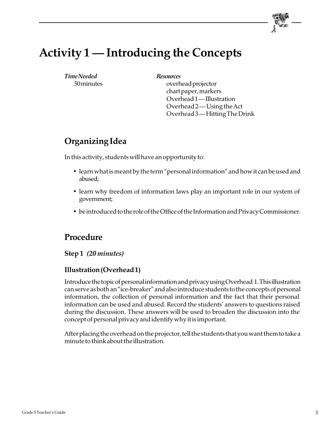## <span id="page-8-0"></span>**Activity 1 — Introducing the Concepts**

*Time Needed* 50 minutes *Resources*

overhead projector chart paper, markers Overhead 1-Illustration Overhead  $2$ —Using the Act Overhead 3 — Hitting The Drink

### **Organizing Idea**

In this activity, students will have an opportunity to:

- learn what is meant by the term "personal information" and how it can be used and abused;
- learn why freedom of information laws play an important role in our system of government;
- be introduced to the role of the Office of the Information and Privacy Commissioner.

#### **Procedure**

#### **Step 1** *(20 minutes)*

#### **Illustration (Overhead 1)**

Introduce the topic of personal information and privacy using Overhead 1. This illustration can serve as both an "ice-breaker" and also introduce students to the concepts of personal information, the collection of personal information and the fact that their personal information can be used and abused. Record the students' answers to questions raised during the discussion. These answers will be used to broaden the discussion into the concept of personal privacy and identify why it is important.

After placing the overhead on the projector, tell the students that you want them to take a minute to think about the illustration.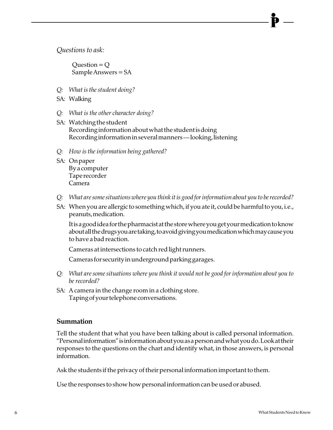*Questions to ask:*

Question = Q Sample Answers = SA

- *Q: What is the student doing?*
- SA: Walking
- *Q: What is the other character doing?*
- SA: Watching the student Recording information about what the student is doing Recording information in several manners — looking, listening
- *Q: How is the information being gathered?*
- SA: On paper By a computer Tape recorder Camera
- *Q: What are some situations where you think it is good for information about you to be recorded?*
- SA: When you are allergic to something which, if you ate it, could be harmful to you, i.e., peanuts, medication.

It is a good idea for the pharmacist at the store where you get your medication to know about all the drugs you are taking, to avoid giving you medication which may cause you to have a bad reaction.

Cameras at intersections to catch red light runners.

Cameras for security in underground parking garages.

- *Q: What are some situations where you think it would not be good for information about you to be recorded?*
- SA: A camera in the change room in a clothing store. Taping of your telephone conversations.

#### **Summation**

Tell the student that what you have been talking about is called personal information. "Personal information" is information about you as a person and what you do. Look at their responses to the questions on the chart and identify what, in those answers, is personal information.

Ask the students if the privacy of their personal information important to them.

Use the responses to show how personal information can be used or abused.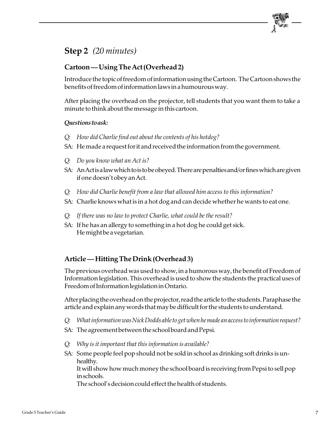#### **Step 2** *(20 minutes)*

#### **Cartoon — Using The Act (Overhead 2)**

Introduce the topic of freedom of information using the Cartoon. The Cartoon shows the benefits of freedom of information laws in a humourous way.

After placing the overhead on the projector, tell students that you want them to take a minute to think about the message in this cartoon.

#### *Questions to ask:*

- *Q: How did Charlie find out about the contents of his hotdog?*
- SA: He made a request for it and received the information from the government.
- *Q: Do you know what an Act is?*
- SA: An Actisa law which to is to be obeyed. There are penalties and/or fines which are given if one doesn't obey an Act.
- *Q: How did Charlie benefit from a law that allowed him access to this information?*
- SA: Charlie knows what is in a hot dog and can decide whether he wants to eat one.
- *Q: If there was no law to protect Charlie, what could be the result?*
- SA: If he has an allergy to something in a hot dog he could get sick. He might be a vegetarian.

#### **Article — Hitting The Drink (Overhead 3)**

The previous overhead was used to show, in a humorous way, the benefit of Freedom of Information legislation. This overhead is used to show the students the practical uses of Freedom of Information legislation in Ontario.

After placing the overhead on the projector, read the article to the students. Paraphase the article and explain any words that may be difficult for the students to understand.

- *Q: What information was Nick Dodds able to get when he made an access to information request?*
- SA: The agreement between the school board and Pepsi.
- *Q: Why is it important that this information is available?*
- SA: Some people feel pop should not be sold in school as drinking soft drinks is unhealthy. It will show how much money the school board is receiving from Pepsi to sell pop in schools.

The school's decision could effect the health of students.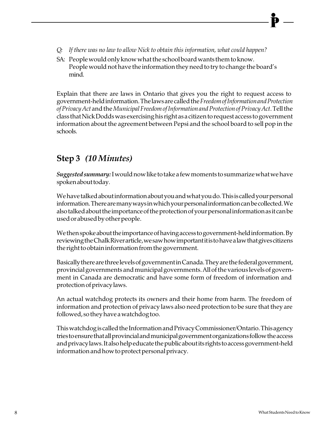- *Q: If there was no law to allow Nick to obtain this information, what could happen?*
- SA: People would only know what the school board wants them to know. People would not have the information they need to try to change the board's mind.

Explain that there are laws in Ontario that gives you the right to request access to government-held information. The laws are called the *Freedom of Information and Protection of Privacy Act* and the *Municipal Freedom of Information and Protection of Privacy Act*. Tell the class that Nick Dodds was exercising his right as a citizen to request access to government information about the agreement between Pepsi and the school board to sell pop in the schools.

#### **Step 3** *(10 Minutes)*

*Suggested summary:* I would now like to take a few moments to summarize what we have spoken about today.

We have talked about information about you and what you do. This is called your personal information. There are many ways in which your personal information can be collected. We also talked about the importance of the protection of your personal information as it can be used or abused by other people.

We then spoke about the importance of having access to government-held information. By reviewing the Chalk River article, we saw how important it is to have a law that gives citizens the right to obtain information from the government.

Basically there are three levels of government in Canada. They are the federal government, provincial governments and municipal governments. All of the various levels of government in Canada are democratic and have some form of freedom of information and protection of privacy laws.

An actual watchdog protects its owners and their home from harm. The freedom of information and protection of privacy laws also need protection to be sure that they are followed, so they have a watchdog too.

This watchdog is called the Information and Privacy Commissioner/Ontario. This agency tries to ensure that all provincial and municipal government organizations follow the access and privacy laws. It also help educate the public about its rights to access government-held information and how to protect personal privacy.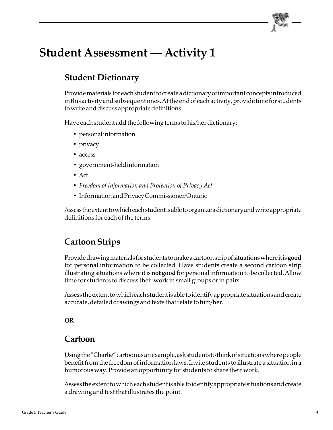## **Student Assessment — Activity 1**

#### **Student Dictionary**

Provide materials for each student to create a dictionary of important concepts introduced in this activity and subsequent ones. At the end of each activity, provide time for students to write and discuss appropriate definitions.

Have each student add the following terms to his/her dictionary:

- *•* personal information
- *•* privacy
- *•* access
- government-held information
- *•* Act
- *Freedom of Information and Protection of Privacy Act*
- *•* Information and Privacy Commissioner/Ontario

Assess the extent to which each student is able to organize a dictionary and write appropriate definitions for each of the terms.

#### **Cartoon Strips**

Provide drawing materials for students to make a cartoon strip of situations where it is **good** for personal information to be collected. Have students create a second cartoon strip illustrating situations where it is **not good** for personal information to be collected. Allow time for students to discuss their work in small groups or in pairs.

Assess the extent to which each student is able to identify appropriate situations and create accurate, detailed drawings and texts that relate to him/her.

#### **OR**

#### **Cartoon**

Using the "Charlie" cartoon as an example, ask students to think of situations where people benefit from the freedom of information laws. Invite students to illustrate a situation in a humorous way. Provide an opportunity for students to share their work.

Assess the extent to which each student is able to identify appropriate situations and create a drawing and text that illustrates the point.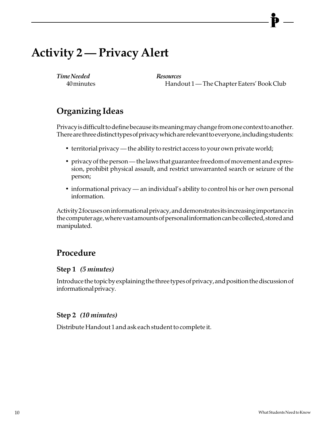## <span id="page-13-0"></span>**Activity 2 — Privacy Alert**

*Time Needed* 40 minutes

*Resources* Handout 1 — The Chapter Eaters' Book Club

### **Organizing Ideas**

Privacy is difficult to define because its meaning may change from one context to another. There are three distinct types of privacy which are relevant to everyone, including students:

- territorial privacy the ability to restrict access to your own private world;
- privacy of the person the laws that guarantee freedom of movement and expression, prohibit physical assault, and restrict unwarranted search or seizure of the person;
- informational privacy an individual's ability to control his or her own personal information.

Activity 2 focuses on informational privacy, and demonstrates its increasing importance in the computer age, where vast amounts of personal information can be collected, stored and manipulated.

#### **Procedure**

#### **Step 1** *(5 minutes)*

Introduce the topic by explaining the three types of privacy, and position the discussion of informational privacy.

#### **Step 2** *(10 minutes)*

Distribute Handout 1 and ask each student to complete it.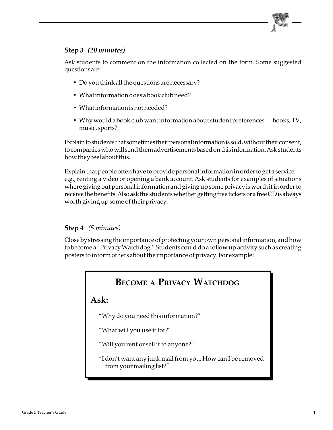#### **Step 3** *(20 minutes)*

Ask students to comment on the information collected on the form. Some suggested questions are:

- Do you think all the questions are necessary?
- What information does a book club need?
- What information is not needed?
- Why would a book club want information about student preferences books, TV, music, sports?

Explain to students that sometimes their personal information is sold, without their consent, to companies who will send them advertisements based on this information. Ask students how they feel about this.

Explain that people often have to provide personal information in order to get a service e.g., renting a video or opening a bank account. Ask students for examples of situations where giving out personal information and giving up some privacy is worth it in order to receive the benefits. Also ask the students whether getting free tickets or a free CD is always worth giving up some of their privacy.

#### **Step 4** *(5 minutes)*

Close by stressing the importance of protecting your own personal information, and how to become a "Privacy Watchdog." Students could do a follow up activity such as creating posters to inform others about the importance of privacy. For example:

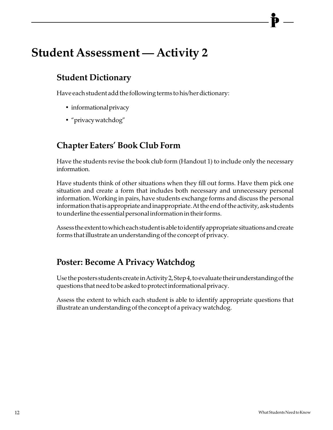## **Student Assessment — Activity 2**

#### **Student Dictionary**

Have each student add the following terms to his/her dictionary:

- *•* informational privacy
- *•* "privacy watchdog"

#### **Chapter Eaters' Book Club Form**

Have the students revise the book club form (Handout 1) to include only the necessary information.

Have students think of other situations when they fill out forms. Have them pick one situation and create a form that includes both necessary and unnecessary personal information. Working in pairs, have students exchange forms and discuss the personal information that is appropriate and inappropriate. At the end of the activity, ask students to underline the essential personal information in their forms.

Assess the extent to which each student is able to identify appropriate situations and create forms that illustrate an understanding of the concept of privacy.

#### **Poster: Become A Privacy Watchdog**

Use the posters students create in Activity 2, Step 4, to evaluate their understanding of the questions that need to be asked to protect informational privacy.

Assess the extent to which each student is able to identify appropriate questions that illustrate an understanding of the concept of a privacy watchdog.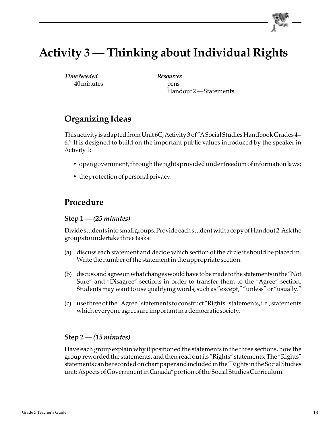## <span id="page-16-0"></span>**Activity 3 — Thinking about Individual Rights**

*Time Needed* 40 minutes

*Resources* pens Handout 2-Statements

#### **Organizing Ideas**

This activity is adapted from Unit 6C, Activity 3 of "A Social Studies Handbook Grades 4 – 6." It is designed to build on the important public values introduced by the speaker in Activity 1:

- open government, through the rights provided under freedom of information laws;
- the protection of personal privacy.

#### **Procedure**

#### **Step 1 —** *(25 minutes)*

Divide students into small groups. Provide each student with a copy of Handout 2. Ask the groups to undertake three tasks:

- (a) discuss each statement and decide which section of the circle it should be placed in. Write the number of the statement in the appropriate section.
- (b) discuss and agree on what changes would have to be made to the statements in the "Not Sure" and "Disagree" sections in order to transfer them to the "Agree" section. Students may want to use qualifying words, such as "except," "unless" or "usually."
- (c) use three of the "Agree" statements to construct "Rights" statements, i.e., statements which everyone agrees are important in a democratic society.

#### **Step 2 —** *(15 minutes)*

Have each group explain why it positioned the statements in the three sections, how the group reworded the statements, and then read out its "Rights" statements. The "Rights" statements can be recorded on chart paper and included in the "Rights in the Social Studies unit: Aspects of Government in Canada"portion of the Social Studies Curriculum.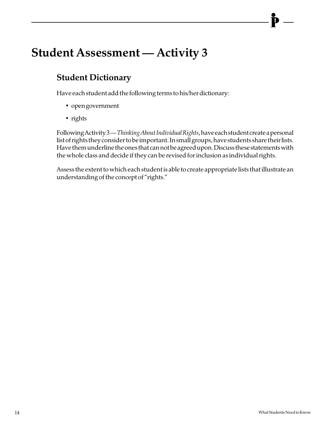## **Student Assessment — Activity 3**

#### **Student Dictionary**

Have each student add the following terms to his/her dictionary:

- *•* open government
- *•* rights

Following Activity 3 — *Thinking About Individual Rights*, have each student create a personal list of rights they consider to be important. In small groups, have students share their lists. Have them underline the ones that can not be agreed upon. Discuss these statements with the whole class and decide if they can be revised for inclusion as individual rights.

Assess the extent to which each student is able to create appropriate lists that illustrate an understanding of the concept of "rights."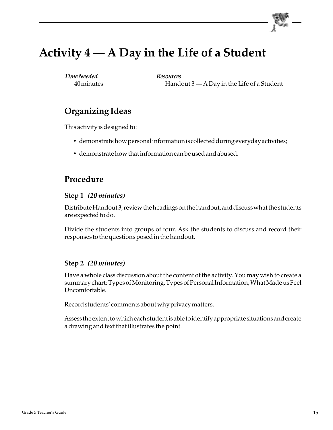

## <span id="page-18-0"></span>**Activity 4 — A Day in the Life of a Student**

*Time Needed* 40 minutes *Resources* Handout 3 — A Day in the Life of a Student

#### **Organizing Ideas**

This activity is designed to:

- demonstrate how personal information is collected during everyday activities;
- demonstrate how that information can be used and abused.

#### **Procedure**

#### **Step 1** *(20 minutes)*

Distribute Handout 3, review the headings on the handout, and discuss what the students are expected to do.

Divide the students into groups of four. Ask the students to discuss and record their responses to the questions posed in the handout.

#### **Step 2** *(20 minutes)*

Have a whole class discussion about the content of the activity. You may wish to create a summary chart: Types of Monitoring, Types of Personal Information, What Made us Feel Uncomfortable.

Record students' comments about why privacy matters.

Assess the extent to which each student is able to identify appropriate situations and create a drawing and text that illustrates the point.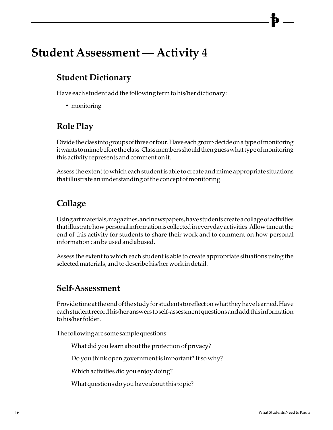## **Student Assessment — Activity 4**

#### **Student Dictionary**

Have each student add the following term to his/her dictionary:

*•* monitoring

### **Role Play**

Divide the class into groups of three or four. Have each group decide on a type of monitoring it wants to mime before the class. Class members should then guess what type of monitoring this activity represents and comment on it.

Assess the extent to which each student is able to create and mime appropriate situations that illustrate an understanding of the concept of monitoring.

#### **Collage**

Using art materials, magazines, and newspapers, have students create a collage of activities that illustrate how personal information is collected in everyday activities. Allow time at the end of this activity for students to share their work and to comment on how personal information can be used and abused.

Assess the extent to which each student is able to create appropriate situations using the selected materials, and to describe his/her work in detail.

#### **Self-Assessment**

Provide time at the end of the study for students to reflect on what they have learned. Have each student record his/her answers to self-assessment questions and add this information to his/her folder.

The following are some sample questions:

What did you learn about the protection of privacy?

Do you think open government is important? If so why?

Which activities did you enjoy doing?

What questions do you have about this topic?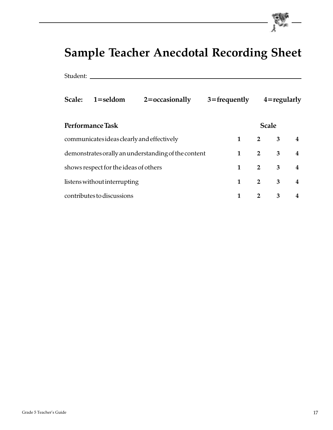## <span id="page-20-0"></span>**Sample Teacher Anecdotal Recording Sheet**

Ţ

| Student:                                            |  |                                                         |              |           |                         |                |                |
|-----------------------------------------------------|--|---------------------------------------------------------|--------------|-----------|-------------------------|----------------|----------------|
|                                                     |  | Scale: 1=seldom 2=occasionally 3=frequently 4=regularly |              |           |                         |                |                |
| Performance Task                                    |  |                                                         | <b>Scale</b> |           |                         |                |                |
| communicates ideas clearly and effectively          |  |                                                         |              |           | $1 \t 2 \t 3$           |                | $\overline{4}$ |
| demonstrates orally an understanding of the content |  |                                                         |              |           | $1 \quad 2$             | 3 <sup>7</sup> | $\overline{4}$ |
| shows respect for the ideas of others               |  |                                                         | $\mathbf{1}$ |           | $\overline{\mathbf{2}}$ | 3 <sup>7</sup> | $\overline{4}$ |
| listens without interrupting                        |  |                                                         |              | $1 \quad$ | $\mathbf{2}$            | $3^{\circ}$    | $\overline{4}$ |
| contributes to discussions                          |  |                                                         | 1            |           | $\mathbf{2}$            | 3              | $\overline{4}$ |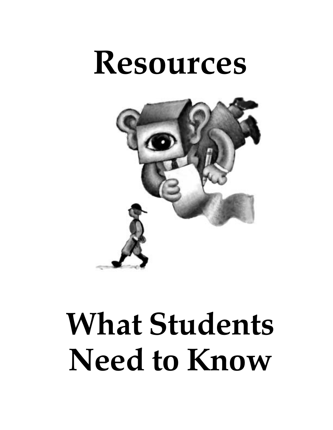## <span id="page-21-0"></span>**Resources**



# **What Students Need to Know**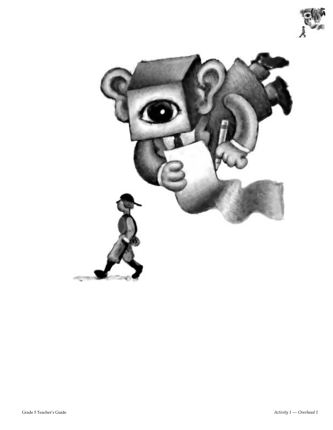

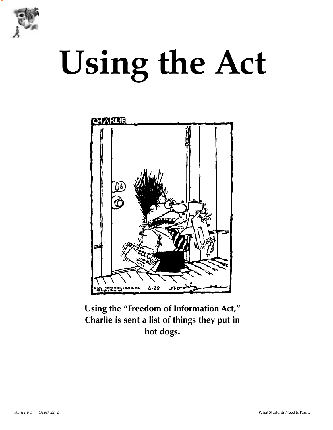

# **Using the Act**



**Using the "Freedom of Information Act," Charlie is sent a list of things they put in hot dogs.**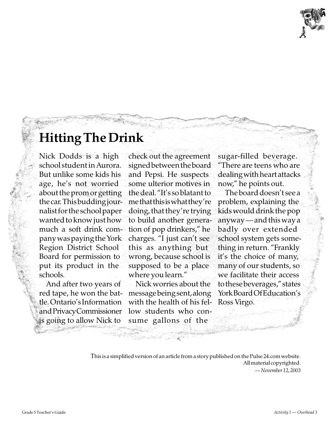## **Hitting The Drink**

Nick Dodds is a high school student in Aurora. But unlike some kids his age, he's not worried about the prom or getting the car. This budding journalist for the school paper wanted to know just how much a soft drink company was paying the York Region District School Board for permission to put its product in the schools.

And after two years of red tape, he won the battle. Ontario's Information and Privacy Commissioner is going to allow Nick to

check out the agreement signed between the board and Pepsi. He suspects some ulterior motives in the deal. "It's so blatant to me that this is what they're doing, that they're trying to build another generation of pop drinkers," he charges. "I just can't see this as anything but wrong, because school is supposed to be a place where you learn."

Nick worries about the message being sent, along with the health of his fellow students who consume gallons of the

sugar-filled beverage. "There are teens who are dealing with heart attacks now," he points out.

The board doesn't see a problem, explaining the kids would drink the pop anyway — and this way a badly over extended school system gets something in return. "Frankly it's the choice of many, many of our students, so we facilitate their access to these beverages," states York Board Of Education's Ross Virgo.

This is a simplified version of an article from a story published on the Pulse 24.com website. All material copyrighted. *— November 12, 2003*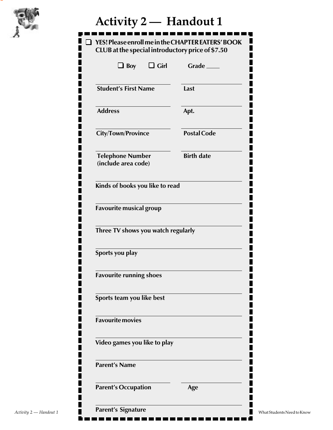

| <b>Activity 2 — Handout 1</b>                                                                         |                    |
|-------------------------------------------------------------------------------------------------------|--------------------|
| YES! Please enroll me in the CHAPTER EATERS' BOOK<br>CLUB at the special introductory price of \$7.50 |                    |
| $\Box$ Girl<br>$\Box$ Boy                                                                             | $Grade$ $\_\$      |
| <b>Student's First Name</b>                                                                           | Last               |
| <b>Address</b>                                                                                        | Apt.               |
| City/Town/Province                                                                                    | <b>Postal Code</b> |
| <b>Telephone Number</b><br>(include area code)                                                        | <b>Birth date</b>  |
| Kinds of books you like to read                                                                       |                    |
| <b>Favourite musical group</b>                                                                        |                    |
| Three TV shows you watch regularly                                                                    |                    |
| Sports you play                                                                                       |                    |
| <b>Favourite running shoes</b>                                                                        |                    |
| Sports team you like best                                                                             |                    |
| <b>Favourite movies</b>                                                                               |                    |
| Video games you like to play                                                                          |                    |
| <b>Parent's Name</b>                                                                                  |                    |

**Parent's Occupation Age** 

٠ П

П  $\blacksquare$ 

Activity 2 — Handout 1 **Parent's Signature Properties Activity 2 — Handout 1** What Students Need to Know

▅ 

----------

П

-----

 $\blacksquare$   $\blacksquare$  $\blacksquare$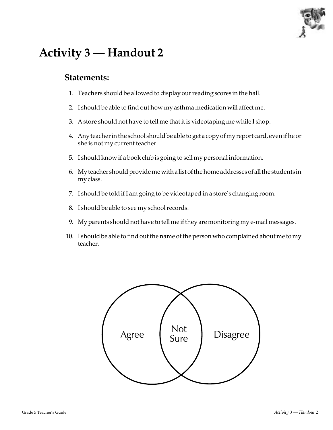

## **Activity 3 — Handout 2**

#### **Statements:**

- 1. Teachers should be allowed to display our reading scores in the hall.
- 2. I should be able to find out how my asthma medication will affect me.
- 3. A store should not have to tell me that it is videotaping me while I shop.
- 4. Any teacher in the school should be able to get a copy of my report card, even if he or she is not my current teacher.
- 5. I should know if a book club is going to sell my personal information.
- 6. My teacher should provide me with a list of the home addresses of all the students in my class.
- 7. I should be told if I am going to be videotaped in a store's changing room.
- 8. I should be able to see my school records.
- 9. My parents should not have to tell me if they are monitoring my e-mail messages.
- 10. I should be able to find out the name of the person who complained about me to my teacher.

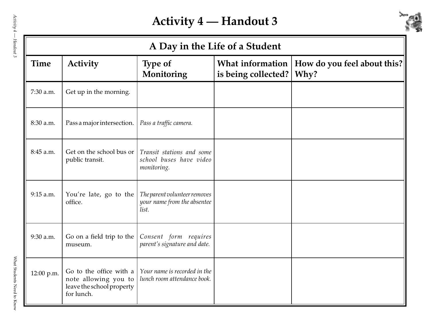Г



| A Day in the Life of a Student |                                                                                            |                                                                      |                                         |                                     |  |  |
|--------------------------------|--------------------------------------------------------------------------------------------|----------------------------------------------------------------------|-----------------------------------------|-------------------------------------|--|--|
| <b>Time</b>                    | <b>Activity</b>                                                                            | <b>Type of</b><br>Monitoring                                         | What information<br>is being collected? | How do you feel about this?<br>Why? |  |  |
| 7:30 a.m.                      | Get up in the morning.                                                                     |                                                                      |                                         |                                     |  |  |
| 8:30 a.m.                      | Pass a major intersection.                                                                 | Pass a traffic camera.                                               |                                         |                                     |  |  |
| 8:45 a.m.                      | Get on the school bus or<br>public transit.                                                | Transit stations and some<br>school buses have video<br>monitoring.  |                                         |                                     |  |  |
| 9:15 a.m.                      | You're late, go to the<br>office.                                                          | The parent volunteer removes<br>your name from the absentee<br>list. |                                         |                                     |  |  |
| 9:30 a.m.                      | Go on a field trip to the<br>museum.                                                       | Consent form requires<br>parent's signature and date.                |                                         |                                     |  |  |
| 12:00 p.m.                     | Go to the office with a<br>note allowing you to<br>leave the school property<br>for lunch. | Your name is recorded in the<br>lunch room attendance book.          |                                         |                                     |  |  |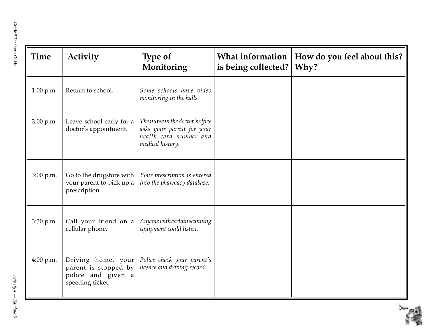| <b>Time</b> | <b>Activity</b>                                                                      | <b>Type of</b><br>Monitoring                                                                                | What information $ $<br>is being collected? | How do you feel about this?<br>Why? |
|-------------|--------------------------------------------------------------------------------------|-------------------------------------------------------------------------------------------------------------|---------------------------------------------|-------------------------------------|
| $1:00$ p.m. | Return to school.                                                                    | Some schools have video<br>monitoring in the halls.                                                         |                                             |                                     |
| 2:00 p.m.   | Leave school early for a<br>doctor's appointment.                                    | The nurse in the doctor's office<br>asks your parent for your<br>health card number and<br>medical history. |                                             |                                     |
| 3:00 p.m.   | Go to the drugstore with<br>your parent to pick up a<br>prescription.                | Your prescription is entered<br>into the pharmacy database.                                                 |                                             |                                     |
| 3:30 p.m.   | Call your friend on a<br>cellular phone.                                             | Anyone with certain scanning<br>equipment could listen.                                                     |                                             |                                     |
| $4:00$ p.m. | Driving home, your<br>parent is stopped by<br>police and given a<br>speeding ticket. | Police check your parent's<br>licence and driving record.                                                   |                                             |                                     |

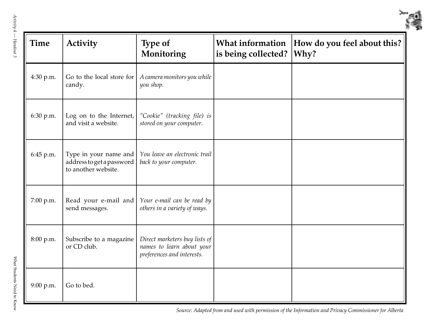| <b>Time</b> | <b>Activity</b>                                                           | <b>Type of</b><br>Monitoring                                                             | <b>What information</b><br>is being collected? | How do you feel about this?<br>Why? |
|-------------|---------------------------------------------------------------------------|------------------------------------------------------------------------------------------|------------------------------------------------|-------------------------------------|
| 4:30 p.m.   | Go to the local store for<br>candy.                                       | A camera monitors you while<br>you shop.                                                 |                                                |                                     |
| 6:30 p.m.   | Log on to the Internet,<br>and visit a website.                           | "Cookie" (tracking file) is<br>stored on your computer.                                  |                                                |                                     |
| 6:45 p.m.   | Type in your name and<br>address to get a password<br>to another website. | You leave an electronic trail<br>back to your computer.                                  |                                                |                                     |
| 7:00 p.m.   | Read your e-mail and<br>send messages.                                    | Your e-mail can be read by<br>others in a variety of ways.                               |                                                |                                     |
| 8:00 p.m.   | Subscribe to a magazine<br>or CD club.                                    | Direct marketers buy lists of<br>names to learn about your<br>preferences and interests. |                                                |                                     |
| 9:00 p.m.   | Go to bed.                                                                |                                                                                          |                                                |                                     |